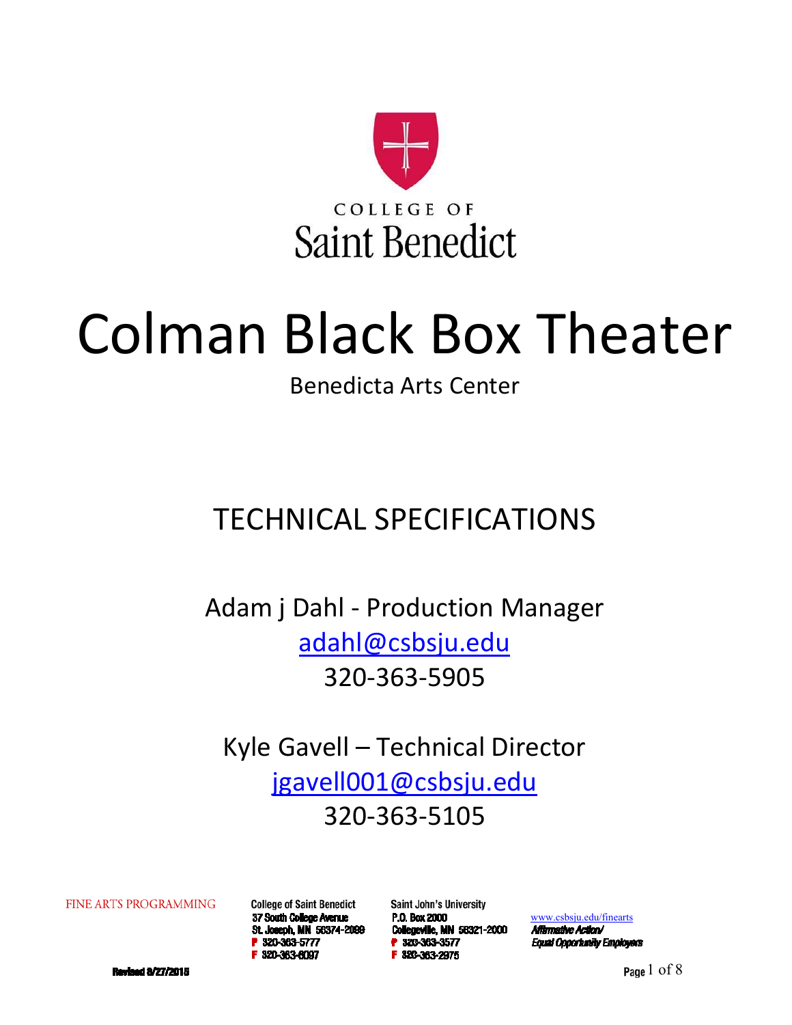

# Colman Black Box Theater

### Benedicta Arts Center

# TECHNICAL SPECIFICATIONS

Adam j Dahl ‐ Production Manager adahl@csbsju.edu 320‐363‐5905

Kyle Gavell – Technical Director jgavell001@csbsju.edu 320‐363‐5105

**FINE ARTS PROGRAMMING** 

**College of Saint Benedict** 37 South College Avenue St. Joseph, MN 56374-2099 P 320-363-5777 F 320-363-6097

**Saint John's University** P.O. Box 2000 Collegeville, MN 56321-2000 P 320-363-3577 F 320-363-2975

www.csbsju.edu/finearts

Affirmative Action/ **Equal Opportunity Employers** 

**Revised 8/27/2015** 

Page  $1$  of  $8$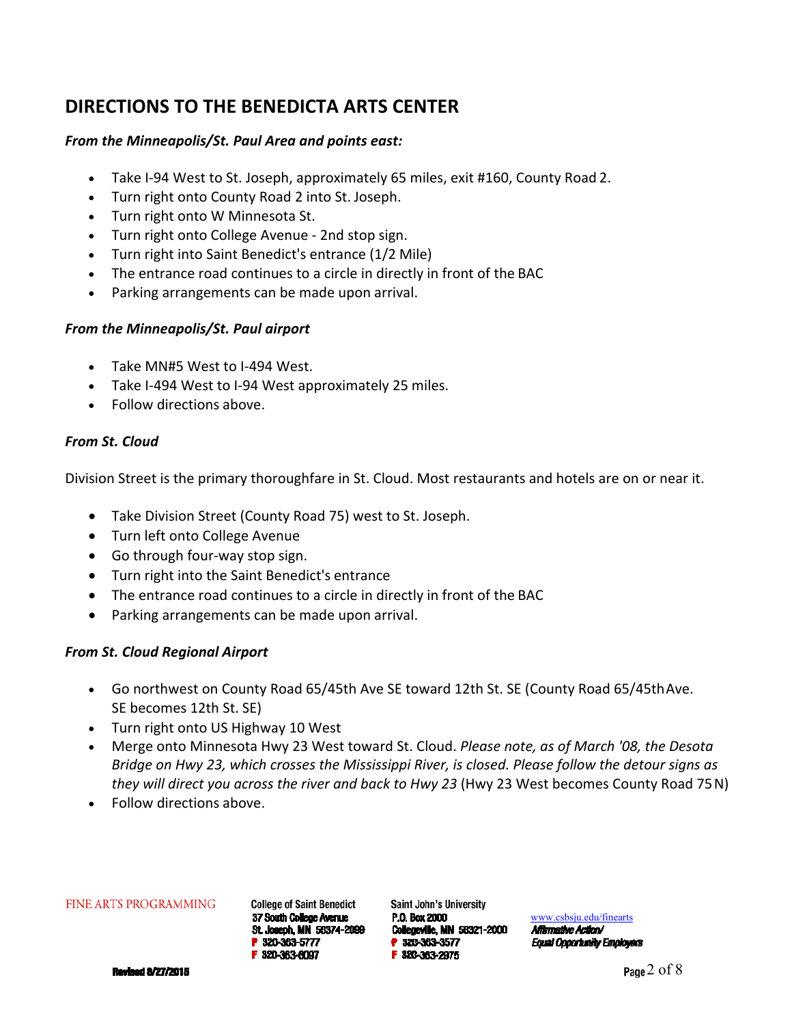### **DIRECTIONS TO THE BENEDICTA ARTS CENTER**

#### *From the Minneapolis/St. Paul Area and points east:*

- Take I‐94 West to St. Joseph, approximately 65 miles, exit #160, County Road 2.
- Turn right onto County Road 2 into St. Joseph.
- Turn right onto W Minnesota St.
- Turn right onto College Avenue ‐ 2nd stop sign.
- Turn right into Saint Benedict's entrance (1/2 Mile)
- The entrance road continues to a circle in directly in front of the BAC
- Parking arrangements can be made upon arrival.

#### *From the Minneapolis/St. Paul airport*

- Take MN#5 West to I-494 West.
- Take I‐494 West to I‐94 West approximately 25 miles.
- Follow directions above.

#### *From St. Cloud*

Division Street is the primary thoroughfare in St. Cloud. Most restaurants and hotels are on or near it.

- Take Division Street (County Road 75) west to St. Joseph.
- Turn left onto College Avenue
- Go through four-way stop sign.
- Turn right into the Saint Benedict's entrance
- The entrance road continues to a circle in directly in front of the BAC
- Parking arrangements can be made upon arrival.

#### *From St. Cloud Regional Airport*

- Go northwest on County Road 65/45th Ave SE toward 12th St. SE (County Road 65/45th Ave. SE becomes 12th St. SE)
- Turn right onto US Highway 10 West
- Merge onto Minnesota Hwy 23 West toward St. Cloud. *Please note, as of March '08, the Desota Bridge on Hwy 23, which crosses the Mississippi River, is closed. Please follow the detour signs as they will direct you across the river and back to Hwy 23* (Hwy 23 West becomes County Road 75 N)
- Follow directions above.

#### FINE ARTS PROGRAMMING

**College of Saint Benedict** 37 South College Avenue St. Joseph, MN 56374-2099 P 320-363-5777 F 320-363-6097

Saint John's University P.O. Box 2000 Collegeville, MN 58321-2000 P 320-363-3577 F 320-363-2975

www.csbsju.edu/finearts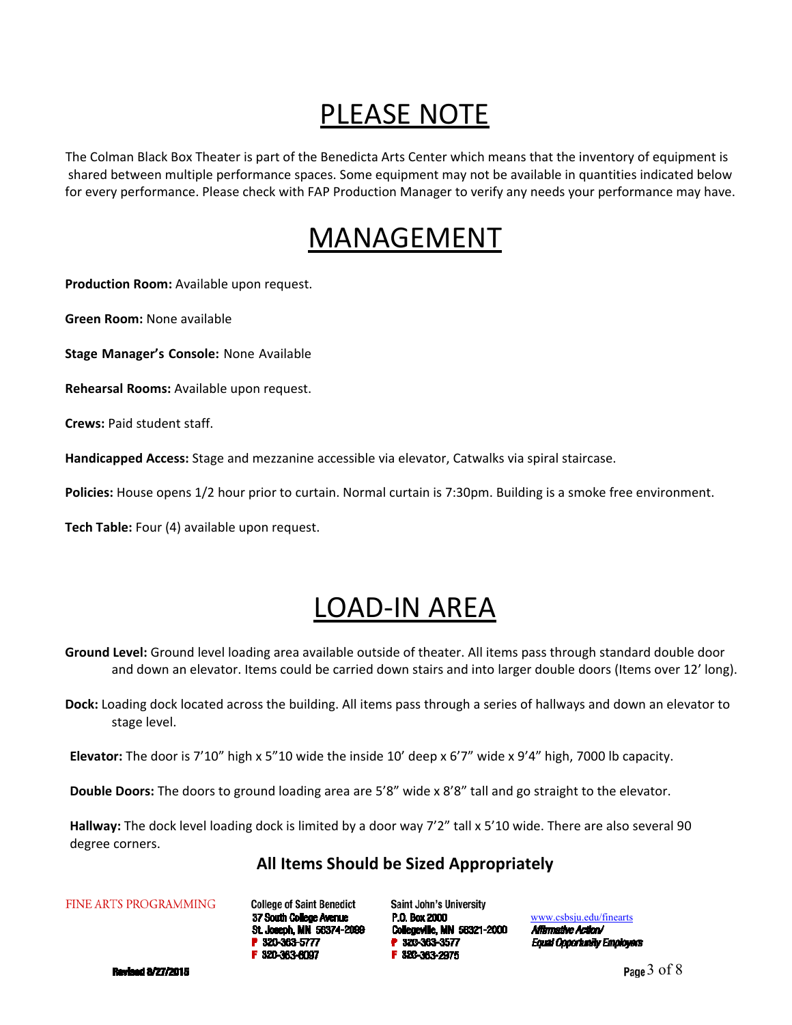### PLEASE NOTE

The Colman Black Box Theater is part of the Benedicta Arts Center which means that the inventory of equipment is shared between multiple performance spaces. Some equipment may not be available in quantities indicated below for every performance. Please check with FAP Production Manager to verify any needs your performance may have.

### MANAGEMENT

**Production Room:** Available upon request.

**Green Room:** None available

**Stage Manager's Console:** None Available

**Rehearsal Rooms:** Available upon request.

**Crews:** Paid student staff.

**Handicapped Access:** Stage and mezzanine accessible via elevator, Catwalks via spiral staircase.

**Policies:** House opens 1/2 hour prior to curtain. Normal curtain is 7:30pm. Building is a smoke free environment.

**Tech Table:** Four (4) available upon request.

## LOAD‐IN AREA

**Ground Level:** Ground level loading area available outside of theater. All items pass through standard double door and down an elevator. Items could be carried down stairs and into larger double doors (Items over 12' long).

**Dock:** Loading dock located across the building. All items pass through a series of hallways and down an elevator to stage level.

**Elevator:** The door is 7'10" high x 5"10 wide the inside 10' deep x 6'7" wide x 9'4" high, 7000 lb capacity.

**Double Doors:** The doors to ground loading area are 5'8" wide x 8'8" tall and go straight to the elevator.

**Hallway:** The dock level loading dock is limited by a door way 7'2" tall x 5'10 wide. There are also several 90 degree corners.

### **All Items Should be Sized Appropriately**

FINE ARTS PROGRAMMING

**College of Saint Benedict** 37 South College Avenue St. Joseph, MN 56374-2099 P 320-363-5777 F 320-363-6097

Saint John's University P.O. Box 2000 Collegeville, MN 56321-2000 P 320-363-3577 F 320-363-2975

www.csbsju.edu/finearts Affirmative Action/ **Equal Opportunity Employers** 

**Revised 8/27/2015** 

Page 3 of 8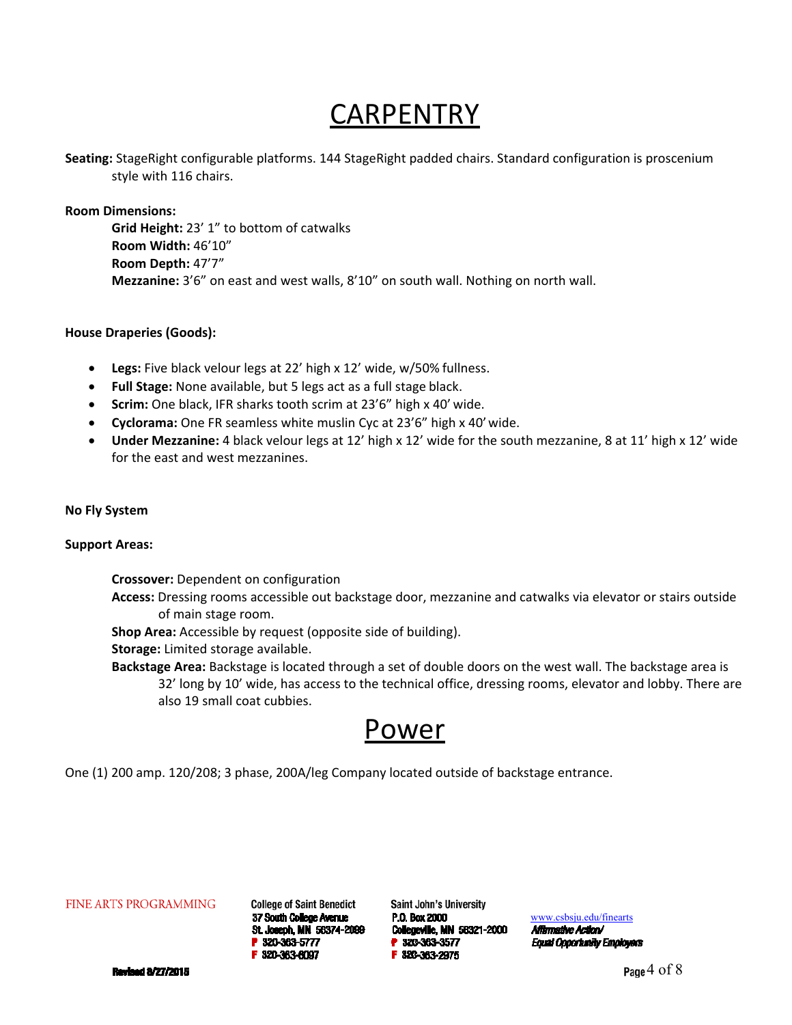### **CARPENTRY**

**Seating:** StageRight configurable platforms. 144 StageRight padded chairs. Standard configuration is proscenium style with 116 chairs.

**Room Dimensions:** 

**Grid Height:** 23' 1" to bottom of catwalks **Room Width:** 46'10" **Room Depth:** 47'7" **Mezzanine:** 3'6" on east and west walls, 8'10" on south wall. Nothing on north wall.

#### **House Draperies (Goods):**

- **Legs:** Five black velour legs at 22' high x 12' wide, w/50% fullness.
- **Full Stage:** None available, but 5 legs act as a full stage black.
- **Scrim:** One black, IFR sharks tooth scrim at 23'6" high x 40' wide.
- **Cyclorama:** One FR seamless white muslin Cyc at 23'6" high x 40' wide.
- **Under Mezzanine:** 4 black velour legs at 12' high x 12' wide for the south mezzanine, 8 at 11' high x 12' wide for the east and west mezzanines.

#### **No Fly System**

#### **Support Areas:**

**Crossover:** Dependent on configuration

**Access:** Dressing rooms accessible out backstage door, mezzanine and catwalks via elevator or stairs outside of main stage room.

**Shop Area:** Accessible by request (opposite side of building).

**Storage:** Limited storage available.

**Backstage Area:** Backstage is located through a set of double doors on the west wall. The backstage area is 32' long by 10' wide, has access to the technical office, dressing rooms, elevator and lobby. There are also 19 small coat cubbies.

### Power

One (1) 200 amp. 120/208; 3 phase, 200A/leg Company located outside of backstage entrance.

**FINE ARTS PROGRAMMING** 

**College of Saint Benedict** 37 South College Avenue St. Joseph, MN 56374-2099 P 320-363-5777 F 320-363-6097

**Saint John's University** P.O. Box 2000 **Collegeville, MN 58321-2000** P 320-363-3577 F 320-363-2975

www.csbsju.edu/finearts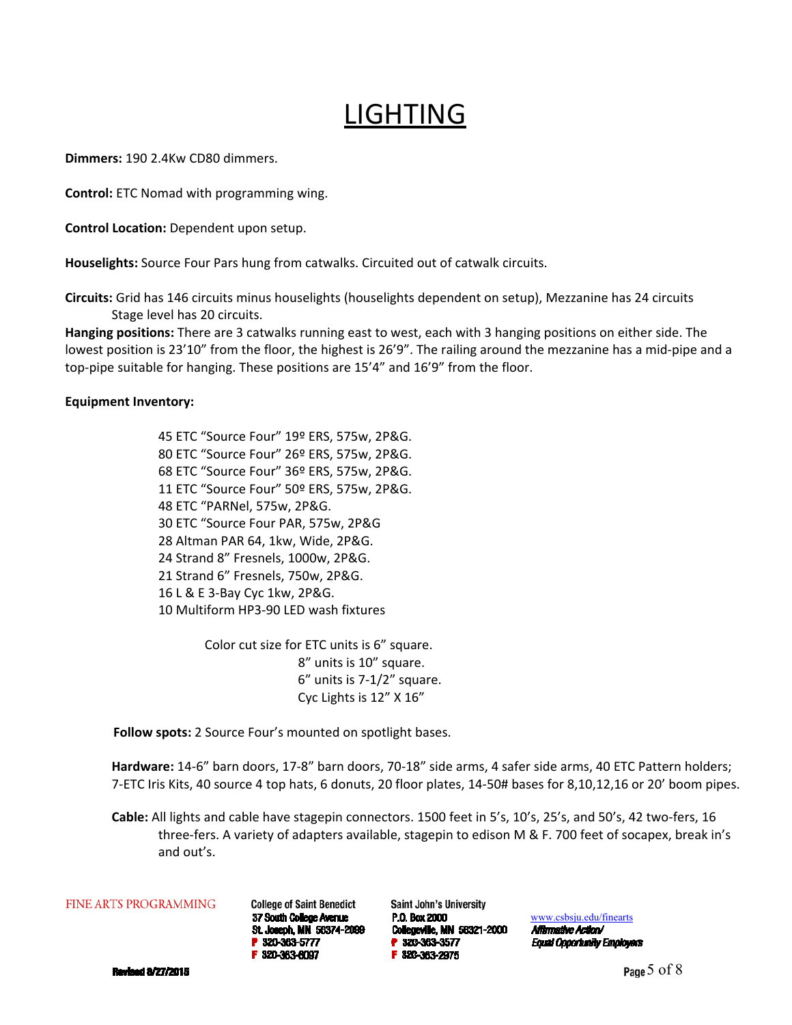### LIGHTING

**Dimmers:** 190 2.4Kw CD80 dimmers.

**Control:** ETC Nomad with programming wing.

**Control Location:** Dependent upon setup.

**Houselights:** Source Four Pars hung from catwalks. Circuited out of catwalk circuits.

**Circuits:** Grid has 146 circuits minus houselights (houselights dependent on setup), Mezzanine has 24 circuits Stage level has 20 circuits.

**Hanging positions:** There are 3 catwalks running east to west, each with 3 hanging positions on either side. The lowest position is 23'10" from the floor, the highest is 26'9". The railing around the mezzanine has a mid‐pipe and a top-pipe suitable for hanging. These positions are 15'4" and 16'9" from the floor.

#### **Equipment Inventory:**

45 ETC "Source Four" 19º ERS, 575w, 2P&G. 80 ETC "Source Four" 26º ERS, 575w, 2P&G. 68 ETC "Source Four" 36º ERS, 575w, 2P&G. 11 ETC "Source Four" 50º ERS, 575w, 2P&G. 48 ETC "PARNel, 575w, 2P&G. 30 ETC "Source Four PAR, 575w, 2P&G 28 Altman PAR 64, 1kw, Wide, 2P&G. 24 Strand 8" Fresnels, 1000w, 2P&G. 21 Strand 6" Fresnels, 750w, 2P&G. 16 L & E 3‐Bay Cyc 1kw, 2P&G. 10 Multiform HP3‐90 LED wash fixtures

> Color cut size for ETC units is 6" square. 8" units is 10" square. 6" units is 7‐1/2" square. Cyc Lights is 12" X 16"

**Follow spots:** 2 Source Four's mounted on spotlight bases.

**Hardware:** 14‐6" barn doors, 17‐8" barn doors, 70‐18" side arms, 4 safer side arms, 40 ETC Pattern holders; 7‐ETC Iris Kits, 40 source 4 top hats, 6 donuts, 20 floor plates, 14‐50# bases for 8,10,12,16 or 20' boom pipes.

**Cable:** All lights and cable have stagepin connectors. 1500 feet in 5's, 10's, 25's, and 50's, 42 two‐fers, 16 three-fers. A variety of adapters available, stagepin to edison M & F. 700 feet of socapex, break in's and out's.

#### **FINE ARTS PROGRAMMING**

**College of Saint Benedict** 37 South College Avenue St. Joseph, MN 56374-2099 P 320-363-5777 F 320-363-6097

Saint John's University P.O. Box 2000 Collegeville, MN 58321-2000 P 320-363-3577 F 320-363-2975

www.csbsju.edu/finearts Affirmative Action/

**Equal Opportunity Employers** 

**Revised 8/27/2015**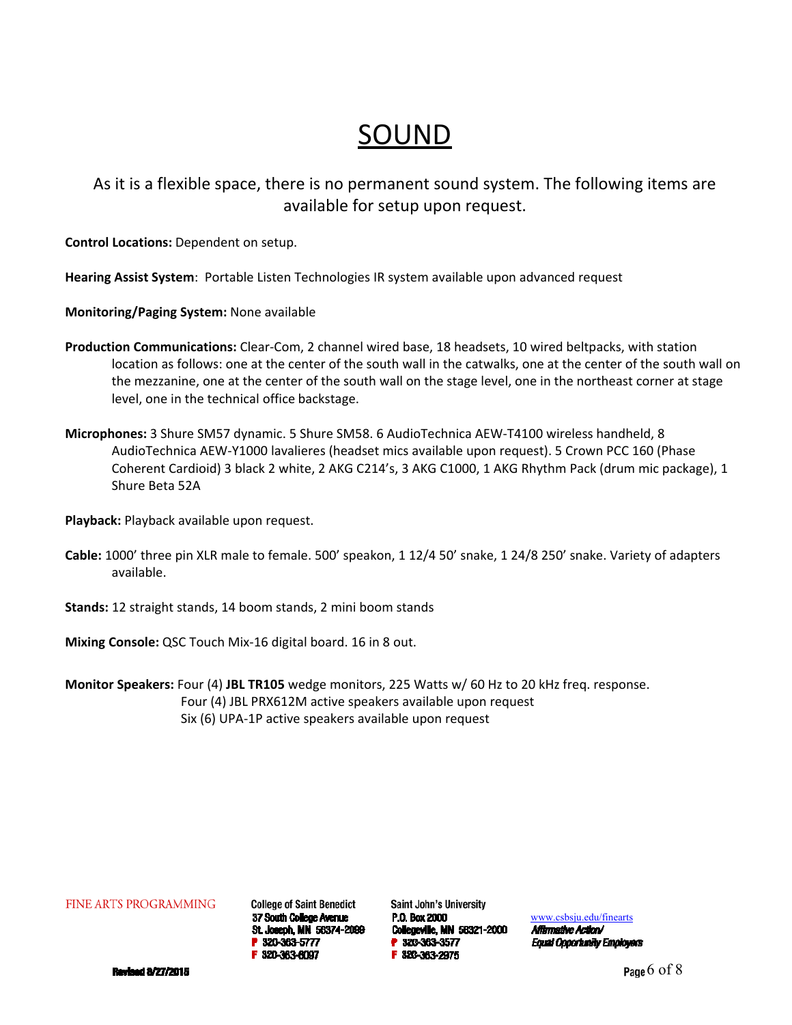### SOUND

As it is a flexible space, there is no permanent sound system. The following items are available for setup upon request.

**Control Locations:** Dependent on setup.

**Hearing Assist System**: Portable Listen Technologies IR system available upon advanced request

**Monitoring/Paging System:** None available

- **Production Communications:** Clear‐Com, 2 channel wired base, 18 headsets, 10 wired beltpacks, with station location as follows: one at the center of the south wall in the catwalks, one at the center of the south wall on the mezzanine, one at the center of the south wall on the stage level, one in the northeast corner at stage level, one in the technical office backstage.
- **Microphones:** 3 Shure SM57 dynamic. 5 Shure SM58. 6 AudioTechnica AEW‐T4100 wireless handheld, 8 AudioTechnica AEW‐Y1000 lavalieres (headset mics available upon request). 5 Crown PCC 160 (Phase Coherent Cardioid) 3 black 2 white, 2 AKG C214's, 3 AKG C1000, 1 AKG Rhythm Pack (drum mic package), 1 Shure Beta 52A

**Playback:** Playback available upon request.

- **Cable:** 1000' three pin XLR male to female. 500' speakon, 1 12/4 50' snake, 1 24/8 250' snake. Variety of adapters available.
- **Stands:** 12 straight stands, 14 boom stands, 2 mini boom stands

**Mixing Console:** QSC Touch Mix‐16 digital board. 16 in 8 out.

**Monitor Speakers:** Four (4) **JBL TR105** wedge monitors, 225 Watts w/ 60 Hz to 20 kHz freq. response. Four (4) JBL PRX612M active speakers available upon request Six (6) UPA‐1P active speakers available upon request

**FINE ARTS PROGRAMMING** 

**College of Saint Benedict** 37 South College Avenue St. Joseph, MN 56374-2099 P 320-363-5777 F 320-363-6097

Saint John's University P.O. Box 2000 **Collegeville, MN 58321-2000** P 320-363-3577 F 320-363-2975

www.csbsju.edu/finearts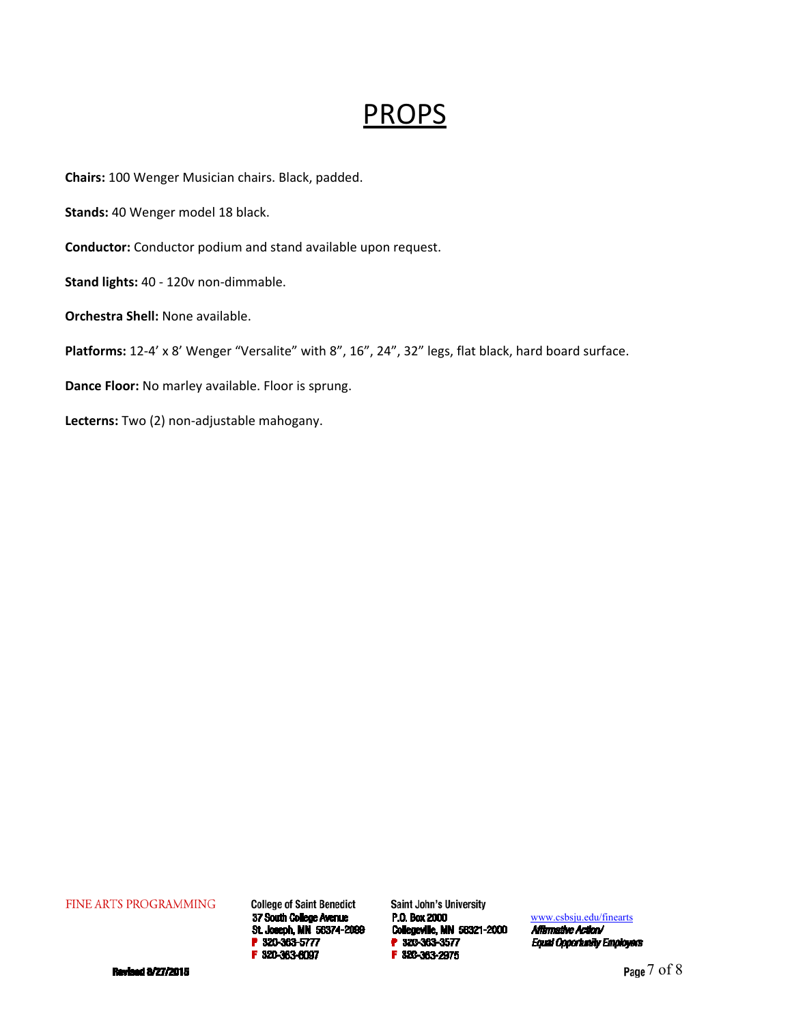### PROPS

**Chairs:** 100 Wenger Musician chairs. Black, padded.

**Stands:** 40 Wenger model 18 black.

**Conductor:** Conductor podium and stand available upon request.

**Stand lights:** 40 ‐ 120v non‐dimmable.

**Orchestra Shell:** None available.

Platforms: 12-4' x 8' Wenger "Versalite" with 8", 16", 24", 32" legs, flat black, hard board surface.

**Dance Floor:** No marley available. Floor is sprung.

**Lecterns:** Two (2) non‐adjustable mahogany.

FINE ARTS PROGRAMMING

**College of Saint Benedict** 37 South College Avenue St. Joseph, MN 56374-2099 F 320-363-6097

**Saint John's University** P.O. Box 2000 Collegeville, MN 58321-2000 P 320-363-3577 F 320-363-2975

www.csbsju.edu/finearts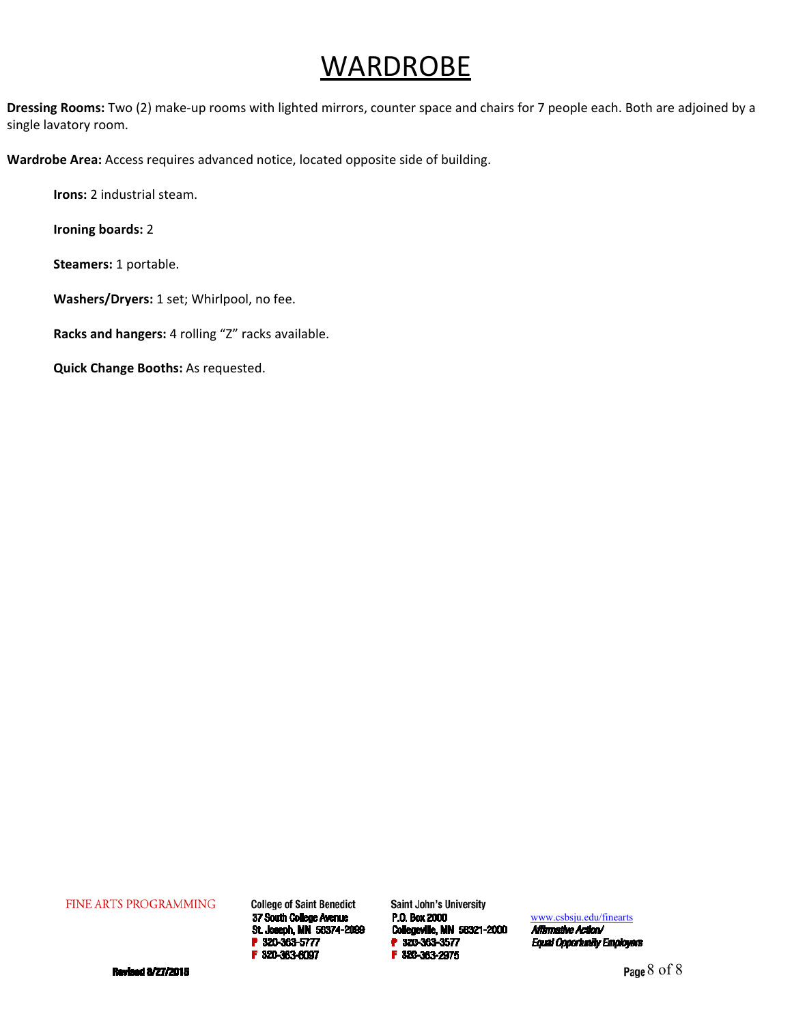### **WARDROBE**

**Dressing Rooms:** Two (2) make‐up rooms with lighted mirrors, counter space and chairs for 7 people each. Both are adjoined by a single lavatory room.

**Wardrobe Area:** Access requires advanced notice, located opposite side of building.

**Irons:** 2 industrial steam.

**Ironing boards:** 2

**Steamers:** 1 portable.

**Washers/Dryers:** 1 set; Whirlpool, no fee.

**Racks and hangers:** 4 rolling "Z" racks available.

**Quick Change Booths:** As requested.

FINE ARTS PROGRAMMING

**College of Saint Benedict** 37 South College Avenue St. Joseph, MN 56374-2099 P 320-363-5777 F 320-363-6097

**Saint John's University** P.O. Box 2000 Collegeville, MN 58321-2000 P 320-363-3577 F 320-363-2975

www.csbsju.edu/finearts

Affirmative Action/ **Equal Opportunity Employers** 

**Revised 8/27/2015**